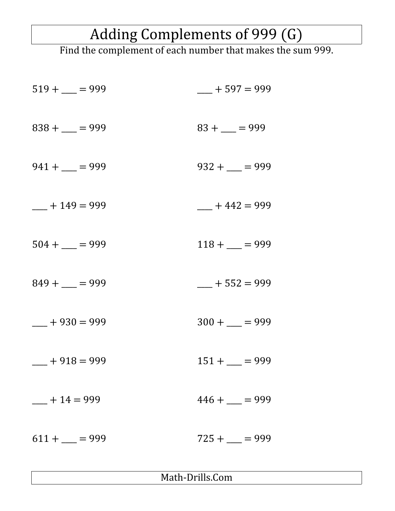## Adding Complements of 999 (G)

Find the complement of each number that makes the sum 999.

| $519 + \underline{\qquad} = 999$ | $-+597=999$                      |
|----------------------------------|----------------------------------|
| $838 +$ - $= 999$                | $83 + \underline{\qquad} = 999$  |
| $941 +$ $= 999$                  | $932 +$ $-$ = 999                |
| $-+149=999$                      | $-+442=999$                      |
| $504 +$ - = 999                  | $118 + \underline{\qquad} = 999$ |
| $849 + \underline{\qquad} = 999$ | $-+552=999$                      |
| $-+930=999$                      | $300 +$ - $= 999$                |
| $-+918=999$                      | $151 + \underline{\qquad} = 999$ |
| $-+14=999$                       | $446 + \underline{\qquad} = 999$ |
| $611 +$ = 999                    | $725 +$ $-$ = 999                |

Math-Drills.Com